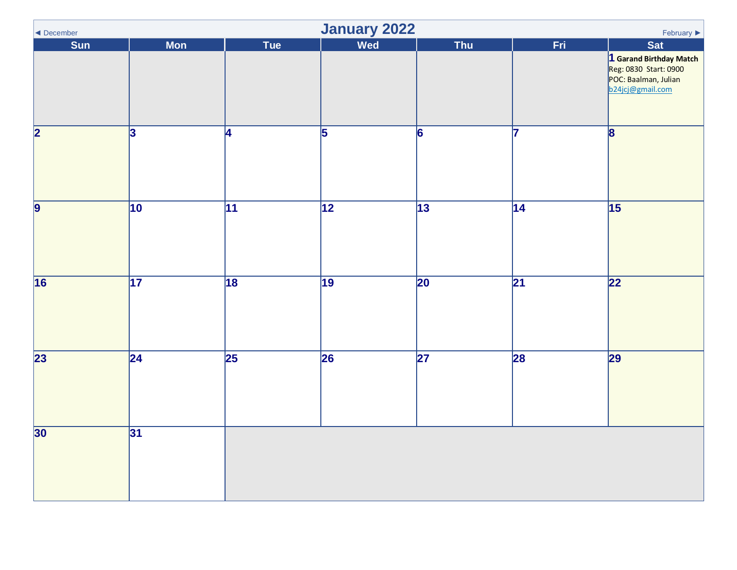<span id="page-0-0"></span>

| ◀ December              | January 2022<br>February $\blacktriangleright$ |                 |                 |                 |                 |                                                                                                      |  |  |
|-------------------------|------------------------------------------------|-----------------|-----------------|-----------------|-----------------|------------------------------------------------------------------------------------------------------|--|--|
| Sun                     | <b>Mon</b>                                     | Tue             | Wed             | Thu             | Fri             | Sat                                                                                                  |  |  |
|                         |                                                |                 |                 |                 |                 | <b>1 Garand Birthday Match<br/>Reg: 0830 Start: 0900</b><br>POC: Baalman, Julian<br>b24jcj@gmail.com |  |  |
| $\overline{\mathbf{2}}$ | 3                                              | <b>4</b>        | $\overline{5}$  | $\overline{6}$  | 17              | $\overline{\mathbf{8}}$                                                                              |  |  |
| $\overline{9}$          | $\overline{10}$                                | $\overline{11}$ | $\overline{12}$ | $\overline{13}$ | $\overline{14}$ | $\overline{15}$                                                                                      |  |  |
| 16                      | 17                                             | 18              | $\overline{19}$ | $\overline{20}$ | $\overline{21}$ | $\overline{22}$                                                                                      |  |  |
| $\overline{23}$         | $\overline{24}$                                | $\overline{25}$ | 26              | $\overline{27}$ | 28              | $\overline{29}$                                                                                      |  |  |
| 30 <sup>°</sup>         | 31                                             |                 |                 |                 |                 |                                                                                                      |  |  |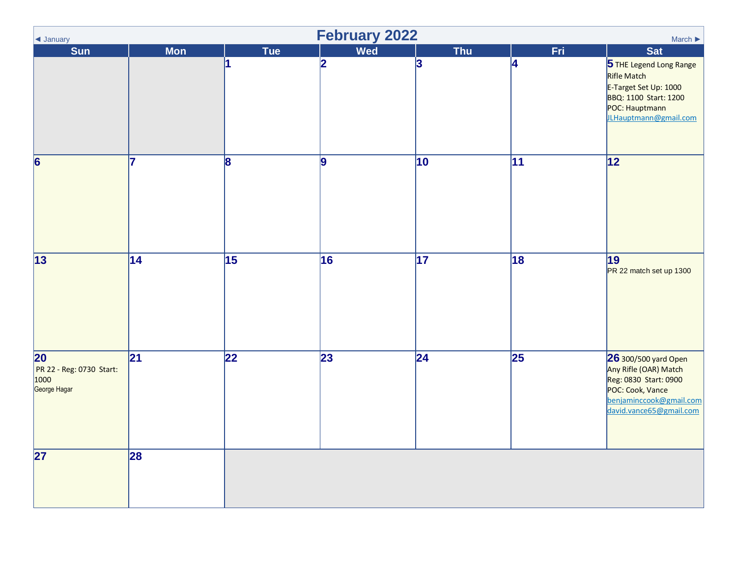<span id="page-1-0"></span>

| ◀ January                                                           | <b>February 2022</b><br>March $\blacktriangleright$ |                 |                 |                 |                 |                                                                                                                                                  |  |  |
|---------------------------------------------------------------------|-----------------------------------------------------|-----------------|-----------------|-----------------|-----------------|--------------------------------------------------------------------------------------------------------------------------------------------------|--|--|
| <b>Sun</b>                                                          | <b>Mon</b>                                          | Tue             | Wed             | <b>Thu</b>      | Fri             | <b>Sat</b>                                                                                                                                       |  |  |
|                                                                     |                                                     | 11              | 2               | 3               | 4               | 5 THE Legend Long Range<br>Rifle Match<br>E-Target Set Up: 1000<br>BBQ: 1100 Start: 1200<br>POC: Hauptmann<br>JLHauptmann@gmail.com              |  |  |
| 6                                                                   | 7                                                   | 8               | 9               | 10              | 11              | 12                                                                                                                                               |  |  |
| $\overline{13}$                                                     | $\overline{14}$                                     | $\overline{15}$ | 16              | $\overline{17}$ | $\overline{18}$ | 19<br>PR 22 match set up 1300                                                                                                                    |  |  |
| $\overline{20}$<br>PR 22 - Reg: 0730 Start:<br>1000<br>George Hagar | 21                                                  | $\overline{22}$ | $\overline{23}$ | $ 24\rangle$    | $\overline{25}$ | 26 300/500 yard Open<br>Any Rifle (OAR) Match<br>Reg: 0830 Start: 0900<br>POC: Cook, Vance<br>benjaminccook@gmail.com<br>david.vance65@gmail.com |  |  |
| 27                                                                  | 28                                                  |                 |                 |                 |                 |                                                                                                                                                  |  |  |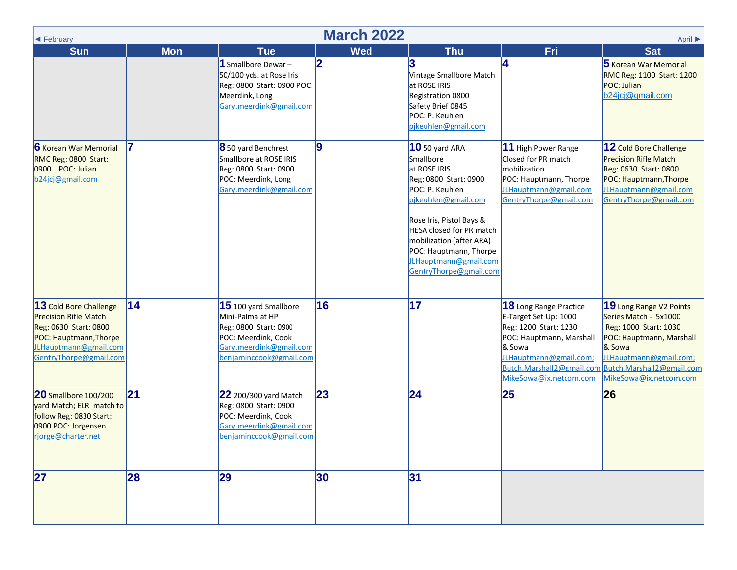<span id="page-2-0"></span>

| ← February                                                                                                                                                   | <b>March 2022</b><br>April ▶ |                                                                                                                                                   |                 |                                                                                                                                                                                                                                                                                               |                                                                                                                                                                                                   |                                                                                                                                                                                                  |  |  |  |
|--------------------------------------------------------------------------------------------------------------------------------------------------------------|------------------------------|---------------------------------------------------------------------------------------------------------------------------------------------------|-----------------|-----------------------------------------------------------------------------------------------------------------------------------------------------------------------------------------------------------------------------------------------------------------------------------------------|---------------------------------------------------------------------------------------------------------------------------------------------------------------------------------------------------|--------------------------------------------------------------------------------------------------------------------------------------------------------------------------------------------------|--|--|--|
| <b>Sun</b>                                                                                                                                                   | <b>Mon</b>                   | <b>Tue</b><br>1 Smallbore Dewar-<br>50/100 yds. at Rose Iris<br>Reg: 0800 Start: 0900 POC:<br>Meerdink, Long<br>Gary.meerdink@gmail.com           | <b>Wed</b><br>2 | <b>Thu</b><br>13<br>Vintage Smallbore Match<br>at ROSE IRIS<br>Registration 0800<br>Safety Brief 0845<br>POC: P. Keuhlen<br>pjkeuhlen@gmail.com                                                                                                                                               | Fri<br>14                                                                                                                                                                                         | <b>Sat</b><br>5 Korean War Memorial<br>RMC Reg: 1100 Start: 1200<br>POC: Julian<br>b24jcj@gmail.com                                                                                              |  |  |  |
| <b>6</b> Korean War Memorial<br>RMC Reg: 0800 Start:<br>0900 POC: Julian<br>b24jcj@gmail.com                                                                 |                              | 8 50 yard Benchrest<br>Smallbore at ROSE IRIS<br>Reg: 0800 Start: 0900<br>POC: Meerdink, Long<br>Gary.meerdink@gmail.com                          | 9               | <b>10</b> 50 yard ARA<br>Smallbore<br>at ROSE IRIS<br>Reg: 0800 Start: 0900<br>POC: P. Keuhlen<br>pikeuhlen@gmail.com<br>Rose Iris, Pistol Bays &<br><b>HESA closed for PR match</b><br>mobilization (after ARA)<br>POC: Hauptmann, Thorpe<br>JLHauptmann@gmail.com<br>GentryThorpe@gmail.com | 11 High Power Range<br>Closed for PR match<br>mobilization<br>POC: Hauptmann, Thorpe<br>JLHauptmann@gmail.com<br>GentryThorpe@gmail.com                                                           | 12 Cold Bore Challenge<br><b>Precision Rifle Match</b><br>Reg: 0630 Start: 0800<br>POC: Hauptmann, Thorpe<br>JLHauptmann@gmail.com<br>GentryThorpe@gmail.com                                     |  |  |  |
| 13 Cold Bore Challenge<br><b>Precision Rifle Match</b><br>Reg: 0630 Start: 0800<br>POC: Hauptmann, Thorpe<br>JLHauptmann@gmail.com<br>GentryThorpe@gmail.com | 14                           | $15$ 100 yard Smallbore<br>Mini-Palma at HP<br>Reg: 0800 Start: 0900<br>POC: Meerdink, Cook<br>Gary.meerdink@gmail.com<br>benjaminccook@gmail.com | 16              | 17                                                                                                                                                                                                                                                                                            | 18 Long Range Practice<br>E-Target Set Up: 1000<br>Reg: 1200 Start: 1230<br>POC: Hauptmann, Marshall<br>& Sowa<br>JLHauptmann@gmail.com;<br>Butch. Marshall 2@gmail.com<br>MikeSowa@ix.netcom.com | 19 Long Range V2 Points<br>Series Match - 5x1000<br>Reg: 1000 Start: 1030<br>POC: Hauptmann, Marshall<br>& Sowa<br>JLHauptmann@gmail.com;<br>Butch.Marshall2@gmail.com<br>MikeSowa@ix.netcom.com |  |  |  |
| <b>20</b> Smallbore 100/200<br>yard Match; ELR match to<br>follow Reg: 0830 Start:<br>0900 POC: Jorgensen<br>rjorge@charter.net                              | 21                           | 22 200/300 yard Match<br>Reg: 0800 Start: 0900<br>POC: Meerdink, Cook<br>Gary.meerdink@gmail.com<br>benjaminccook@gmail.com                       | 23              | 24                                                                                                                                                                                                                                                                                            | 25                                                                                                                                                                                                | 26                                                                                                                                                                                               |  |  |  |
| 27                                                                                                                                                           | 28                           | 29                                                                                                                                                | 30              | 31                                                                                                                                                                                                                                                                                            |                                                                                                                                                                                                   |                                                                                                                                                                                                  |  |  |  |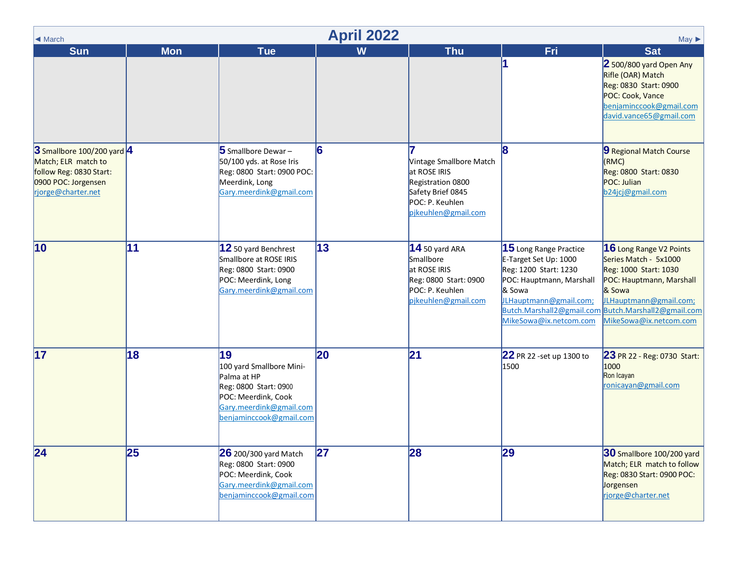<span id="page-3-0"></span>

| $\blacktriangleleft$ March                                                                                                | <b>April 2022</b><br>$May \triangleright$ |                                                                                                                                                     |    |                                                                                                                             |                                                                                                                                                                                                    |                                                                                                                                                                                                  |  |  |  |  |
|---------------------------------------------------------------------------------------------------------------------------|-------------------------------------------|-----------------------------------------------------------------------------------------------------------------------------------------------------|----|-----------------------------------------------------------------------------------------------------------------------------|----------------------------------------------------------------------------------------------------------------------------------------------------------------------------------------------------|--------------------------------------------------------------------------------------------------------------------------------------------------------------------------------------------------|--|--|--|--|
| <b>Sun</b>                                                                                                                | <b>Mon</b>                                | <b>Tue</b>                                                                                                                                          | W  | <b>Thu</b>                                                                                                                  | Fri                                                                                                                                                                                                | <b>Sat</b>                                                                                                                                                                                       |  |  |  |  |
|                                                                                                                           |                                           |                                                                                                                                                     |    |                                                                                                                             |                                                                                                                                                                                                    | 2 500/800 yard Open Any<br>Rifle (OAR) Match<br>Reg: 0830 Start: 0900<br>POC: Cook, Vance<br>benjaminccook@gmail.com<br>david.vance65@gmail.com                                                  |  |  |  |  |
| 3 Smallbore 100/200 yard 4<br>Match; ELR match to<br>follow Reg: 0830 Start:<br>0900 POC: Jorgensen<br>rjorge@charter.net |                                           | 5 Smallbore Dewar-<br>50/100 yds. at Rose Iris<br>Reg: 0800 Start: 0900 POC:<br>Meerdink, Long<br>Gary.meerdink@gmail.com                           | 6  | Vintage Smallbore Match<br>at ROSE IRIS<br>Registration 0800<br>Safety Brief 0845<br>POC: P. Keuhlen<br>pjkeuhlen@gmail.com | 18                                                                                                                                                                                                 | 9 Regional Match Course<br>(RMC)<br>Reg: 0800 Start: 0830<br>POC: Julian<br>b24jcj@gmail.com                                                                                                     |  |  |  |  |
| $ 10\rangle$                                                                                                              | 11                                        | 12 50 yard Benchrest<br>Smallbore at ROSE IRIS<br>Reg: 0800 Start: 0900<br>POC: Meerdink, Long<br>Gary.meerdink@gmail.com                           | 13 | $14$ 50 yard ARA<br>Smallbore<br>at ROSE IRIS<br>Reg: 0800 Start: 0900<br>POC: P. Keuhlen<br>pjkeuhlen@gmail.com            | $ 15$ Long Range Practice<br>E-Target Set Up: 1000<br>Reg: 1200 Start: 1230<br>POC: Hauptmann, Marshall<br>& Sowa<br>JLHauptmann@gmail.com;<br>Butch.Marshall2@gmail.com<br>MikeSowa@ix.netcom.com | 16 Long Range V2 Points<br>Series Match - 5x1000<br>Reg: 1000 Start: 1030<br>POC: Hauptmann, Marshall<br>& Sowa<br>JLHauptmann@gmail.com;<br>Butch.Marshall2@gmail.com<br>MikeSowa@ix.netcom.com |  |  |  |  |
| $\overline{17}$                                                                                                           | 18                                        | 19<br>100 yard Smallbore Mini-<br>Palma at HP<br>Reg: 0800 Start: 0900<br>POC: Meerdink, Cook<br>Gary.meerdink@gmail.com<br>benjaminccook@gmail.com | 20 | $\mathbf{21}$                                                                                                               | 22 PR 22 -set up 1300 to<br>1500                                                                                                                                                                   | 23 PR 22 - Reg: 0730 Start:<br>1000<br>Ron Icayan<br>ronicayan@gmail.com                                                                                                                         |  |  |  |  |
| 24                                                                                                                        | 25                                        | <b>26</b> 200/300 yard Match<br>Reg: 0800 Start: 0900<br>POC: Meerdink, Cook<br>Gary.meerdink@gmail.com<br>benjaminccook@gmail.com                  | 27 | 28                                                                                                                          | 29                                                                                                                                                                                                 | 30 Smallbore 100/200 yard<br>Match; ELR match to follow<br>Reg: 0830 Start: 0900 POC:<br>Jorgensen<br>rjorge@charter.net                                                                         |  |  |  |  |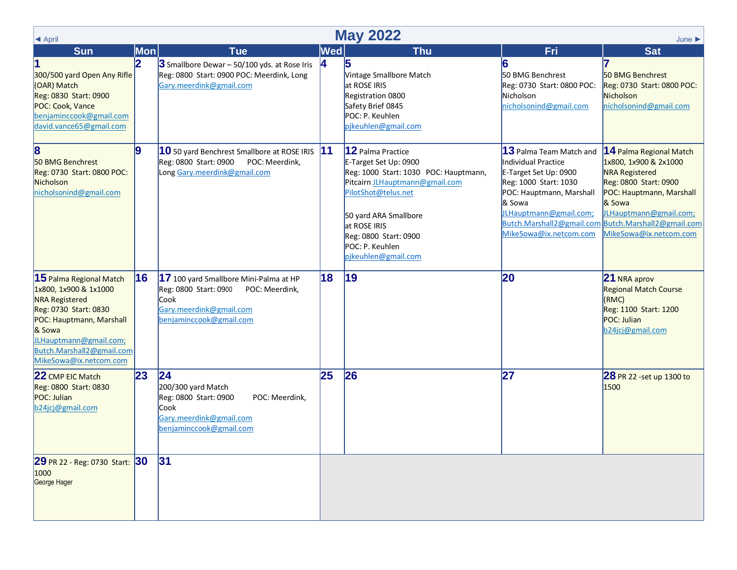<span id="page-4-0"></span>

| <b>May 2022</b><br>E April<br>June                                                                                                                                                                                          |                  |                                                                                                                                                        |     |                                                                                                                                                                                                                                                          |                                                                                                                                                                                            |                                                                                                                                                                                                                                                     |  |  |
|-----------------------------------------------------------------------------------------------------------------------------------------------------------------------------------------------------------------------------|------------------|--------------------------------------------------------------------------------------------------------------------------------------------------------|-----|----------------------------------------------------------------------------------------------------------------------------------------------------------------------------------------------------------------------------------------------------------|--------------------------------------------------------------------------------------------------------------------------------------------------------------------------------------------|-----------------------------------------------------------------------------------------------------------------------------------------------------------------------------------------------------------------------------------------------------|--|--|
| <b>Sun</b>                                                                                                                                                                                                                  | Mon              | <b>Tue</b>                                                                                                                                             | Wed | <b>Thu</b>                                                                                                                                                                                                                                               | Fri                                                                                                                                                                                        | <b>Sat</b>                                                                                                                                                                                                                                          |  |  |
| 300/500 yard Open Any Rifle<br>(OAR) Match<br>Reg: 0830 Start: 0900<br>POC: Cook, Vance<br>benjaminccook@gmail.com<br>david.vance65@gmail.com                                                                               | 2                | $3$ Smallbore Dewar - 50/100 yds. at Rose Iris<br>Reg: 0800 Start: 0900 POC: Meerdink, Long<br>Gary.meerdink@gmail.com                                 | 14  | 5<br>Vintage Smallbore Match<br>at ROSE IRIS<br>Registration 0800<br>Safety Brief 0845<br>POC: P. Keuhlen<br>pikeuhlen@gmail.com                                                                                                                         | 6<br>50 BMG Benchrest<br>Reg: 0730 Start: 0800 POC:<br>Nicholson<br>nicholsonind@gmail.com                                                                                                 | 50 BMG Benchrest<br>Reg: 0730 Start: 0800 POC:<br>Nicholson<br>nicholsonind@gmail.com                                                                                                                                                               |  |  |
| $\bf{8}$<br>50 BMG Benchrest<br>Reg: 0730 Start: 0800 POC:<br>Nicholson<br>nicholsonind@gmail.com                                                                                                                           | $\boldsymbol{9}$ | $ 10$ 50 yard Benchrest Smallbore at ROSE IRIS $ 11$<br>Reg: 0800 Start: 0900<br>POC: Meerdink,<br>Long Gary.meerdink@gmail.com                        |     | 12 Palma Practice<br>E-Target Set Up: 0900<br>Reg: 1000 Start: 1030 POC: Hauptmann,<br>Pitcairn JLHauptmann@gmail.com<br>PilotShot@telus.net<br>50 yard ARA Smallbore<br>at ROSE IRIS<br>Reg: 0800 Start: 0900<br>POC: P. Keuhlen<br>pjkeuhlen@gmail.com | 13 Palma Team Match and<br>Individual Practice<br>E-Target Set Up: 0900<br>Reg: 1000 Start: 1030<br>POC: Hauptmann, Marshall<br>& Sowa<br>JLHauptmann@gmail.com;<br>MikeSowa@ix.netcom.com | 14 Palma Regional Match<br>1x800, 1x900 & 2x1000<br><b>NRA Registered</b><br>Reg: 0800 Start: 0900<br>POC: Hauptmann, Marshall<br>& Sowa<br>JLHauptmann@gmail.com;<br>Butch.Marshall2@gmail.com Butch.Marshall2@gmail.com<br>MikeSowa@ix.netcom.com |  |  |
| $15$ Palma Regional Match<br>1x800, 1x900 & 1x1000<br><b>NRA Registered</b><br>Reg: 0730 Start: 0830<br>POC: Hauptmann, Marshall<br>& Sowa<br>JLHauptmann@gmail.com;<br>Butch.Marshall2@gmail.com<br>MikeSowa@ix.netcom.com | 16               | 17 100 yard Smallbore Mini-Palma at HP<br>Reg: 0800 Start: 0900<br>POC: Meerdink,<br><b>Cook</b><br>Gary.meerdink@gmail.com<br>benjaminccook@gmail.com | 18  | $ 19\rangle$                                                                                                                                                                                                                                             | 20                                                                                                                                                                                         | 21 NRA aprov<br><b>Regional Match Course</b><br>(KMC)<br>Reg: 1100 Start: 1200<br>POC: Julian<br>b24jcj@gmail.com                                                                                                                                   |  |  |
| 22 CMP EIC Match<br>Reg: 0800 Start: 0830<br>POC: Julian<br>b24jcj@gmail.com                                                                                                                                                | 23               | 24<br>200/300 yard Match<br>Reg: 0800 Start: 0900<br>POC: Meerdink.<br><b>Cook</b><br>Gary.meerdink@gmail.com<br>benjaminccook@gmail.com               | 25  | 26                                                                                                                                                                                                                                                       | 27                                                                                                                                                                                         | 28 PR 22 -set up 1300 to<br>1500                                                                                                                                                                                                                    |  |  |
| 29 PR 22 - Reg: 0730 Start: 30<br>1000<br>George Hager                                                                                                                                                                      |                  | 31                                                                                                                                                     |     |                                                                                                                                                                                                                                                          |                                                                                                                                                                                            |                                                                                                                                                                                                                                                     |  |  |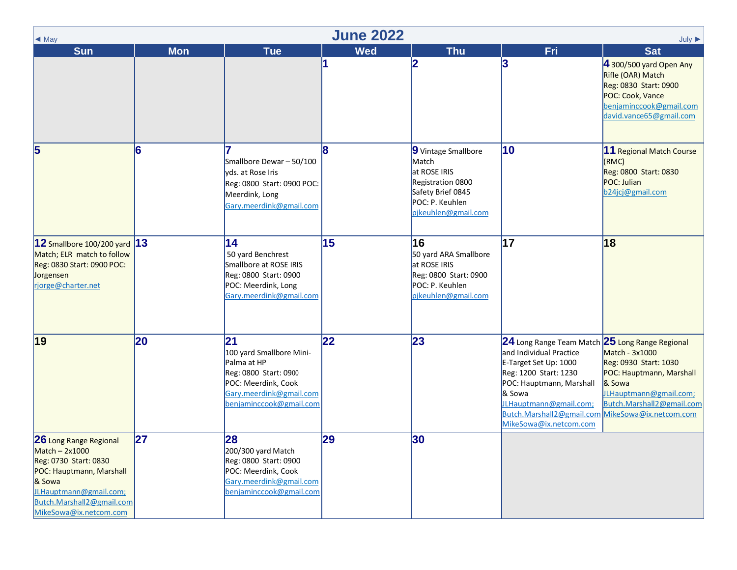<span id="page-5-0"></span>

| $\triangleleft$ May                                                                                                                                                                        | <b>June 2022</b><br>$July \triangleright$ |                                                                                                                                                      |            |                                                                                                                                  |                                                                                                                                                                                                                                                     |                                                                                                                                                                |  |  |
|--------------------------------------------------------------------------------------------------------------------------------------------------------------------------------------------|-------------------------------------------|------------------------------------------------------------------------------------------------------------------------------------------------------|------------|----------------------------------------------------------------------------------------------------------------------------------|-----------------------------------------------------------------------------------------------------------------------------------------------------------------------------------------------------------------------------------------------------|----------------------------------------------------------------------------------------------------------------------------------------------------------------|--|--|
| <b>Sun</b>                                                                                                                                                                                 | <b>Mon</b>                                | <b>Tue</b>                                                                                                                                           | <b>Wed</b> | <b>Thu</b>                                                                                                                       | Fri                                                                                                                                                                                                                                                 | <b>Sat</b>                                                                                                                                                     |  |  |
|                                                                                                                                                                                            |                                           |                                                                                                                                                      | 1          | 2                                                                                                                                | 3                                                                                                                                                                                                                                                   | 4 300/500 yard Open Any<br>Rifle (OAR) Match<br>Reg: 0830 Start: 0900<br>POC: Cook, Vance<br>benjaminccook@gmail.com<br>david.vance65@gmail.com                |  |  |
| 5                                                                                                                                                                                          | 6                                         | Smallbore Dewar - 50/100<br>vds. at Rose Iris<br>Reg: 0800 Start: 0900 POC:<br>Meerdink, Long<br>Gary.meerdink@gmail.com                             | 18         | 9 Vintage Smallbore<br>Match<br>at ROSE IRIS<br>Registration 0800<br>Safety Brief 0845<br>POC: P. Keuhlen<br>pjkeuhlen@gmail.com | 10                                                                                                                                                                                                                                                  | 11 Regional Match Course<br>(RMC)<br>Reg: 0800 Start: 0830<br>POC: Julian<br>b24jcj@gmail.com                                                                  |  |  |
| $12$ Smallbore 100/200 yard<br>Match; ELR match to follow<br>Reg: 0830 Start: 0900 POC:<br>Jorgensen<br>rjorge@charter.net                                                                 | 13                                        | 14<br>50 yard Benchrest<br>Smallbore at ROSE IRIS<br>Reg: 0800 Start: 0900<br>POC: Meerdink, Long<br>Gary.meerdink@gmail.com                         | 15         | 16<br>50 yard ARA Smallbore<br>at ROSE IRIS<br>Reg: 0800 Start: 0900<br>POC: P. Keuhlen<br>pikeuhlen@gmail.com                   | 17                                                                                                                                                                                                                                                  | 18                                                                                                                                                             |  |  |
| $ 19\rangle$                                                                                                                                                                               | 20                                        | 21 <br>100 yard Smallbore Mini-<br>Palma at HP<br>Reg: 0800 Start: 0900<br>POC: Meerdink, Cook<br>Gary.meerdink@gmail.com<br>benjaminccook@gmail.com | 22         | 23                                                                                                                               | 24 Long Range Team Match 25 Long Range Regional<br>and Individual Practice<br>E-Target Set Up: 1000<br>Reg: 1200 Start: 1230<br>POC: Hauptmann, Marshall<br>& Sowa<br>JLHauptmann@gmail.com;<br>Butch.Marshall2@gmail.com<br>MikeSowa@ix.netcom.com | Match - 3x1000<br>Reg: 0930 Start: 1030<br>POC: Hauptmann, Marshall<br>& Sowa<br>JLHauptmann@gmail.com;<br>Butch.Marshall2@gmail.com<br>MikeSowa@ix.netcom.com |  |  |
| 26 Long Range Regional<br>$Match - 2x1000$<br>Reg: 0730 Start: 0830<br>POC: Hauptmann, Marshall<br>& Sowa<br>JLHauptmann@gmail.com;<br>Butch.Marshall2@gmail.com<br>MikeSowa@ix.netcom.com | 27                                        | 28<br>200/300 yard Match<br>Reg: 0800 Start: 0900<br>POC: Meerdink, Cook<br>Gary.meerdink@gmail.com<br>benjaminccook@gmail.com                       | 29         | $ 30\rangle$                                                                                                                     |                                                                                                                                                                                                                                                     |                                                                                                                                                                |  |  |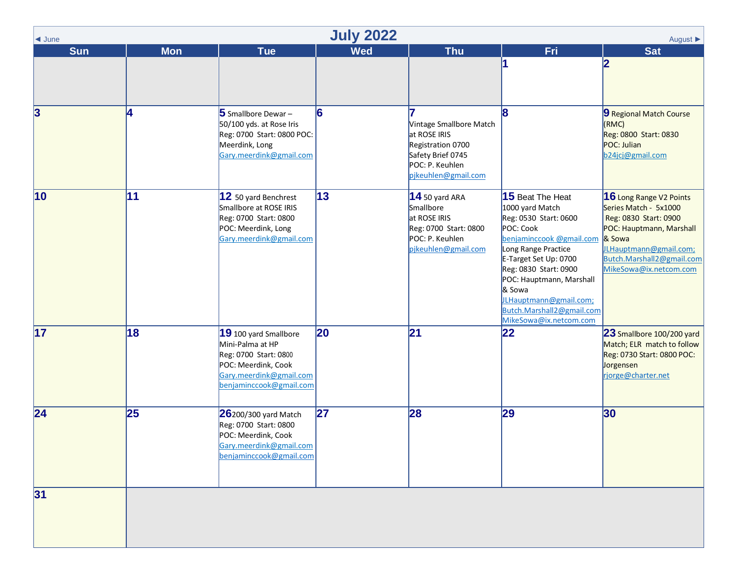<span id="page-6-0"></span>

| $\blacktriangleleft$ June | <b>July 2022</b><br>August $\blacktriangleright$ |                                                                                                                                                 |            |                                                                                                                             |                                                                                                                                                                                                                                                                                                       |                                                                                                                                                                                                  |  |  |  |
|---------------------------|--------------------------------------------------|-------------------------------------------------------------------------------------------------------------------------------------------------|------------|-----------------------------------------------------------------------------------------------------------------------------|-------------------------------------------------------------------------------------------------------------------------------------------------------------------------------------------------------------------------------------------------------------------------------------------------------|--------------------------------------------------------------------------------------------------------------------------------------------------------------------------------------------------|--|--|--|
| <b>Sun</b>                | <b>Mon</b>                                       | <b>Tue</b>                                                                                                                                      | <b>Wed</b> | <b>Thu</b>                                                                                                                  | Fri                                                                                                                                                                                                                                                                                                   | <b>Sat</b>                                                                                                                                                                                       |  |  |  |
|                           |                                                  |                                                                                                                                                 |            |                                                                                                                             |                                                                                                                                                                                                                                                                                                       | 12                                                                                                                                                                                               |  |  |  |
| $\overline{3}$            | 4                                                | 5 Smallbore Dewar-<br>50/100 yds. at Rose Iris<br>Reg: 0700 Start: 0800 POC:<br>Meerdink, Long<br>Gary.meerdink@gmail.com                       | 6          | Vintage Smallbore Match<br>at ROSE IRIS<br>Registration 0700<br>Safety Brief 0745<br>POC: P. Keuhlen<br>pjkeuhlen@gmail.com | 8                                                                                                                                                                                                                                                                                                     | 9 Regional Match Course<br>(KMC)<br>Reg: 0800 Start: 0830<br>POC: Julian<br>b24jcj@gmail.com                                                                                                     |  |  |  |
| $ 10\rangle$              | 11                                               | 12 50 yard Benchrest<br>Smallbore at ROSE IRIS<br>Reg: 0700 Start: 0800<br>POC: Meerdink, Long<br>Gary.meerdink@gmail.com                       | 13         | $14$ 50 yard ARA<br>Smallbore<br>at ROSE IRIS<br>Reg: 0700 Start: 0800<br>POC: P. Keuhlen<br>pjkeuhlen@gmail.com            | 15 Beat The Heat<br>1000 yard Match<br>Reg: 0530 Start: 0600<br>POC: Cook<br>benjaminccook @gmail.com<br>Long Range Practice<br>E-Target Set Up: 0700<br>Reg: 0830 Start: 0900<br>POC: Hauptmann, Marshall<br>& Sowa<br>JLHauptmann@gmail.com;<br>Butch.Marshall2@gmail.com<br>MikeSowa@ix.netcom.com | 16 Long Range V2 Points<br>Series Match - 5x1000<br>Reg: 0830 Start: 0900<br>POC: Hauptmann, Marshall<br>& Sowa<br>JLHauptmann@gmail.com;<br>Butch.Marshall2@gmail.com<br>MikeSowa@ix.netcom.com |  |  |  |
| $\overline{17}$           | 18                                               | 19 100 yard Smallbore<br>Mini-Palma at HP<br>Reg: 0700 Start: 0800<br>POC: Meerdink, Cook<br>Gary.meerdink@gmail.com<br>benjaminccook@gmail.com | 20         | $\overline{21}$                                                                                                             | 22                                                                                                                                                                                                                                                                                                    | 23 Smallbore 100/200 yard<br>Match; ELR match to follow<br>Reg: 0730 Start: 0800 POC:<br>Jorgensen<br>rjorge@charter.net                                                                         |  |  |  |
| 24                        | 25                                               | 26200/300 yard Match<br>Reg: 0700 Start: 0800<br>POC: Meerdink, Cook<br>Gary.meerdink@gmail.com<br>benjaminccook@gmail.com                      | 27         | 28                                                                                                                          | 29                                                                                                                                                                                                                                                                                                    | 30                                                                                                                                                                                               |  |  |  |
| 31                        |                                                  |                                                                                                                                                 |            |                                                                                                                             |                                                                                                                                                                                                                                                                                                       |                                                                                                                                                                                                  |  |  |  |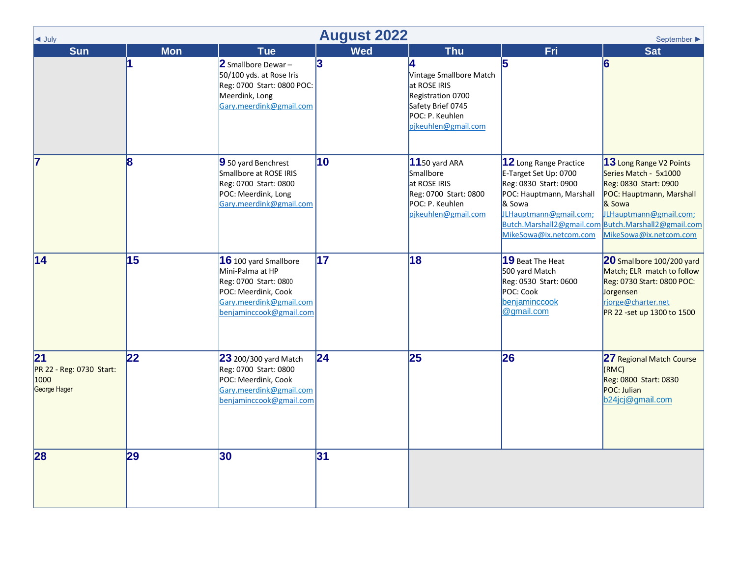<span id="page-7-0"></span>

| $\triangleleft$ July                                   | <b>August 2022</b><br>September $\blacktriangleright$ |                                                                                                                                                        |                 |                                                                                                                             |                                                                                                                                                                    |                                                                                                                                                                                                                            |  |  |
|--------------------------------------------------------|-------------------------------------------------------|--------------------------------------------------------------------------------------------------------------------------------------------------------|-----------------|-----------------------------------------------------------------------------------------------------------------------------|--------------------------------------------------------------------------------------------------------------------------------------------------------------------|----------------------------------------------------------------------------------------------------------------------------------------------------------------------------------------------------------------------------|--|--|
| <b>Sun</b>                                             | <b>Mon</b>                                            | <b>Tue</b>                                                                                                                                             | <b>Wed</b>      | <b>Thu</b>                                                                                                                  | Fri                                                                                                                                                                | <b>Sat</b>                                                                                                                                                                                                                 |  |  |
|                                                        | 11                                                    | 2 Smallbore Dewar-<br>50/100 yds. at Rose Iris<br>Reg: 0700 Start: 0800 POC:<br>Meerdink, Long<br>Gary.meerdink@gmail.com                              | 3               | Vintage Smallbore Match<br>at ROSE IRIS<br>Registration 0700<br>Safety Brief 0745<br>POC: P. Keuhlen<br>pjkeuhlen@gmail.com | 5                                                                                                                                                                  | 6                                                                                                                                                                                                                          |  |  |
| 7                                                      | $\overline{\mathbf{8}}$                               | 9 50 yard Benchrest<br>Smallbore at ROSE IRIS<br>Reg: 0700 Start: 0800<br>POC: Meerdink, Long<br>Gary.meerdink@gmail.com                               | 10              | $11$ 50 yard ARA<br>Smallbore<br>at ROSE IRIS<br>Reg: 0700 Start: 0800<br>POC: P. Keuhlen<br>pjkeuhlen@gmail.com            | 12 Long Range Practice<br>E-Target Set Up: 0700<br>Reg: 0830 Start: 0900<br>POC: Hauptmann, Marshall<br>& Sowa<br>JLHauptmann@gmail.com;<br>MikeSowa@ix.netcom.com | 13 Long Range V2 Points<br>Series Match - 5x1000<br>Reg: 0830 Start: 0900<br>POC: Hauptmann, Marshall<br>& Sowa<br>JLHauptmann@gmail.com;<br>Butch.Marshall2@gmail.com Butch.Marshall2@gmail.com<br>MikeSowa@ix.netcom.com |  |  |
| 14                                                     | 15                                                    | <b>16</b> 100 yard Smallbore<br>Mini-Palma at HP<br>Reg: 0700 Start: 0800<br>POC: Meerdink, Cook<br>Gary.meerdink@gmail.com<br>benjaminccook@gmail.com | $\overline{17}$ | 18                                                                                                                          | 19 Beat The Heat<br>500 yard Match<br>Reg: 0530 Start: 0600<br>POC: Cook<br>benjaminccook<br>@gmail.com                                                            | 20 Smallbore 100/200 yard<br>Match; ELR match to follow<br>Reg: 0730 Start: 0800 POC:<br>Jorgensen<br>rjorge@charter.net<br>PR 22 -set up 1300 to 1500                                                                     |  |  |
| 21<br>PR 22 - Reg: 0730 Start:<br>1000<br>George Hager | 22                                                    | <b>23</b> 200/300 yard Match<br>Reg: 0700 Start: 0800<br>POC: Meerdink, Cook<br>Gary.meerdink@gmail.com<br>benjaminccook@gmail.com                     | 24              | 25                                                                                                                          | 26                                                                                                                                                                 | 27 Regional Match Course<br>(KMC)<br>Reg: 0800 Start: 0830<br>POC: Julian<br>b24jcj@gmail.com                                                                                                                              |  |  |
| 28                                                     | 29                                                    | 30                                                                                                                                                     | 31              |                                                                                                                             |                                                                                                                                                                    |                                                                                                                                                                                                                            |  |  |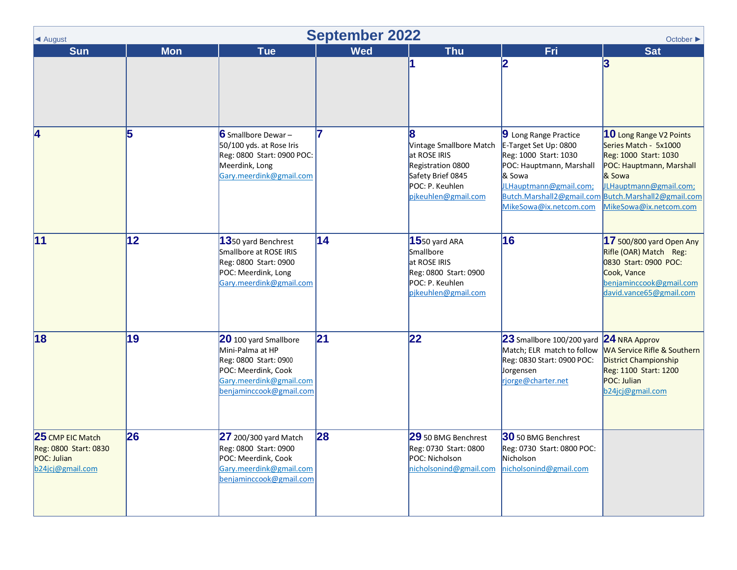<span id="page-8-0"></span>

| ◀ August                                                                     | <b>September 2022</b><br>October ▶ |                                                                                                                                                 |            |                                                                                                                             |                                                                                                                                                                                                |                                                                                                                                                                                                  |  |  |
|------------------------------------------------------------------------------|------------------------------------|-------------------------------------------------------------------------------------------------------------------------------------------------|------------|-----------------------------------------------------------------------------------------------------------------------------|------------------------------------------------------------------------------------------------------------------------------------------------------------------------------------------------|--------------------------------------------------------------------------------------------------------------------------------------------------------------------------------------------------|--|--|
| <b>Sun</b>                                                                   | <b>Mon</b>                         | <b>Tue</b>                                                                                                                                      | <b>Wed</b> | <b>Thu</b>                                                                                                                  | Fri                                                                                                                                                                                            | <b>Sat</b>                                                                                                                                                                                       |  |  |
|                                                                              |                                    |                                                                                                                                                 |            |                                                                                                                             | 2                                                                                                                                                                                              | 3                                                                                                                                                                                                |  |  |
| 4                                                                            | 5                                  | 6 Smallbore Dewar-<br>50/100 yds. at Rose Iris<br>Reg: 0800 Start: 0900 POC:<br>Meerdink, Long<br>Gary.meerdink@gmail.com                       |            | Vintage Smallbore Match<br>at ROSE IRIS<br>Registration 0800<br>Safety Brief 0845<br>POC: P. Keuhlen<br>pjkeuhlen@gmail.com | 9 Long Range Practice<br>E-Target Set Up: 0800<br>Reg: 1000 Start: 1030<br>POC: Hauptmann, Marshall<br>& Sowa<br>JLHauptmann@gmail.com;<br>Butch.Marshall2@gmail.com<br>MikeSowa@ix.netcom.com | 10 Long Range V2 Points<br>Series Match - 5x1000<br>Reg: 1000 Start: 1030<br>POC: Hauptmann, Marshall<br>& Sowa<br>JLHauptmann@gmail.com;<br>Butch.Marshall2@gmail.com<br>MikeSowa@ix.netcom.com |  |  |
| 11                                                                           | 12                                 | 1350 yard Benchrest<br>Smallbore at ROSE IRIS<br>Reg: 0800 Start: 0900<br>POC: Meerdink, Long<br>Gary.meerdink@gmail.com                        | 14         | $15$ 50 yard ARA<br>Smallbore<br>at ROSE IRIS<br>Reg: 0800 Start: 0900<br>POC: P. Keuhlen<br>pjkeuhlen@gmail.com            | 16                                                                                                                                                                                             | 17 500/800 yard Open Any<br>Rifle (OAR) Match Reg:<br>0830 Start: 0900 POC:<br>Cook, Vance<br>benjaminccook@gmail.com<br>david.vance65@gmail.com                                                 |  |  |
| 18                                                                           | 19                                 | 20 100 yard Smallbore<br>Mini-Palma at HP<br>Reg: 0800 Start: 0900<br>POC: Meerdink, Cook<br>Gary.meerdink@gmail.com<br>benjaminccook@gmail.com | 21         | 22                                                                                                                          | 23 Smallbore 100/200 yard<br>Match; ELR match to follow<br>Reg: 0830 Start: 0900 POC:<br>Jorgensen<br>rjorge@charter.net                                                                       | $24$ NRA Approv<br>WA Service Rifle & Southern<br><b>District Championship</b><br>Reg: 1100 Start: 1200<br>POC: Julian<br>b24jcj@gmail.com                                                       |  |  |
| 25 CMP EIC Match<br>Reg: 0800 Start: 0830<br>POC: Julian<br>b24jcj@gmail.com | 26                                 | 27 200/300 yard Match<br>Reg: 0800 Start: 0900<br>POC: Meerdink, Cook<br>Gary.meerdink@gmail.com<br>benjaminccook@gmail.com                     | 28         | 29 50 BMG Benchrest<br>Reg: 0730 Start: 0800<br>POC: Nicholson<br>nicholsonind@gmail.com                                    | 30 50 BMG Benchrest<br>Reg: 0730 Start: 0800 POC:<br>Nicholson<br>nicholsonind@gmail.com                                                                                                       |                                                                                                                                                                                                  |  |  |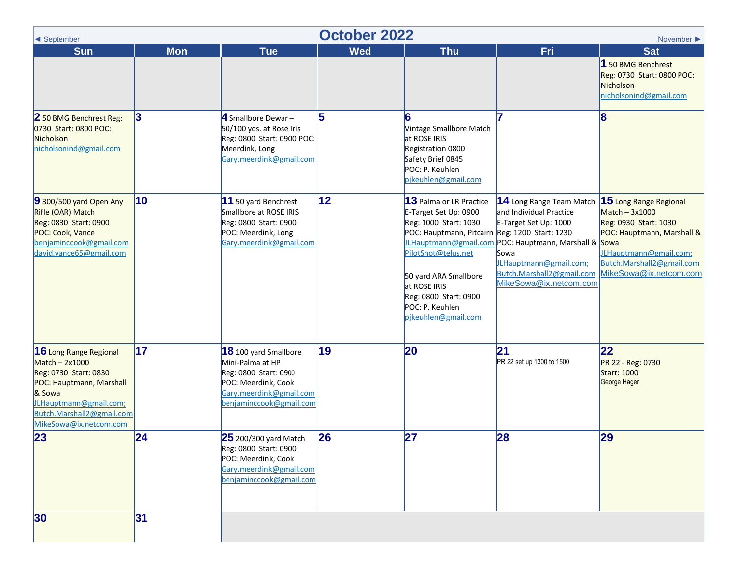<span id="page-9-0"></span>

| $\blacktriangleleft$ September                                                                                                                                                                    | <b>October 2022</b><br>November $\blacktriangleright$ |                                                                                                                                                   |              |                                                                                                                                                                                                                                                                |                                                                                                                                                                                                                                              |                                                                                                                                                                                  |  |
|---------------------------------------------------------------------------------------------------------------------------------------------------------------------------------------------------|-------------------------------------------------------|---------------------------------------------------------------------------------------------------------------------------------------------------|--------------|----------------------------------------------------------------------------------------------------------------------------------------------------------------------------------------------------------------------------------------------------------------|----------------------------------------------------------------------------------------------------------------------------------------------------------------------------------------------------------------------------------------------|----------------------------------------------------------------------------------------------------------------------------------------------------------------------------------|--|
| <b>Sun</b>                                                                                                                                                                                        | <b>Mon</b>                                            | <b>Tue</b>                                                                                                                                        | <b>Wed</b>   | <b>Thu</b>                                                                                                                                                                                                                                                     | Fri                                                                                                                                                                                                                                          | <b>Sat</b><br>1 50 BMG Benchrest<br>Reg: 0730 Start: 0800 POC:<br>Nicholson<br>nicholsonind@gmail.com                                                                            |  |
| 2 50 BMG Benchrest Reg:<br>0730 Start: 0800 POC:<br>Nicholson<br>nicholsonind@gmail.com                                                                                                           | 3                                                     | $\overline{4}$ Smallbore Dewar -<br>50/100 yds. at Rose Iris<br>Reg: 0800 Start: 0900 POC:<br>Meerdink, Long<br>Gary.meerdink@gmail.com           | 5            | Vintage Smallbore Match<br>at ROSE IRIS<br>Registration 0800<br>Safety Brief 0845<br>POC: P. Keuhlen<br>pjkeuhlen@gmail.com                                                                                                                                    |                                                                                                                                                                                                                                              | 8                                                                                                                                                                                |  |
| $9$ 300/500 yard Open Any<br>Rifle (OAR) Match<br>Reg: 0830 Start: 0900<br>POC: Cook, Vance<br>benjaminccook@gmail.com<br>david.vance65@gmail.com                                                 | 10                                                    | $11$ 50 yard Benchrest<br>Smallbore at ROSE IRIS<br>Reg: 0800 Start: 0900<br>POC: Meerdink, Long<br>Gary.meerdink@gmail.com                       | $ 12\rangle$ | 13 Palma or LR Practice<br>E-Target Set Up: 0900<br>Reg: 1000 Start: 1030<br>POC: Hauptmann, Pitcairn Reg: 1200 Start: 1230<br>PilotShot@telus.net<br>50 yard ARA Smallbore<br>at ROSE IRIS<br>Reg: 0800 Start: 0900<br>POC: P. Keuhlen<br>pjkeuhlen@gmail.com | <b>14</b> Long Range Team Match<br>and Individual Practice<br>E-Target Set Up: 1000<br><b>JLHauptmann@gmail.com</b> POC: Hauptmann, Marshall & Sowa<br>Sowa<br>JLHauptmann@gmail.com;<br>Butch.Marshall2@gmail.com<br>MikeSowa@ix.netcom.com | 15 Long Range Regional<br>Match - 3x1000<br>Reg: 0930 Start: 1030<br>POC: Hauptmann, Marshall &<br>JLHauptmann@gmail.com;<br>Butch.Marshall2@gmail.com<br>MikeSowa@ix.netcom.com |  |
| <b>16</b> Long Range Regional<br>$Match - 2x1000$<br>Reg: 0730 Start: 0830<br>POC: Hauptmann, Marshall<br>& Sowa<br>JLHauptmann@gmail.com;<br>Butch.Marshall2@gmail.com<br>MikeSowa@ix.netcom.com | 17                                                    | $18$ 100 yard Smallbore<br>Mini-Palma at HP<br>Reg: 0800 Start: 0900<br>POC: Meerdink, Cook<br>Gary.meerdink@gmail.com<br>benjaminccook@gmail.com | 19           | 20                                                                                                                                                                                                                                                             | 21<br>PR 22 set up 1300 to 1500                                                                                                                                                                                                              | 22<br>PR 22 - Reg: 0730<br>Start: 1000<br>George Hager                                                                                                                           |  |
| $\overline{23}$                                                                                                                                                                                   | 24                                                    | 25 200/300 yard Match<br>Reg: 0800 Start: 0900<br>POC: Meerdink, Cook<br>Gary.meerdink@gmail.com<br>benjaminccook@gmail.com                       | 26           | 27                                                                                                                                                                                                                                                             | 28                                                                                                                                                                                                                                           | 29                                                                                                                                                                               |  |
| 30                                                                                                                                                                                                | 31                                                    |                                                                                                                                                   |              |                                                                                                                                                                                                                                                                |                                                                                                                                                                                                                                              |                                                                                                                                                                                  |  |